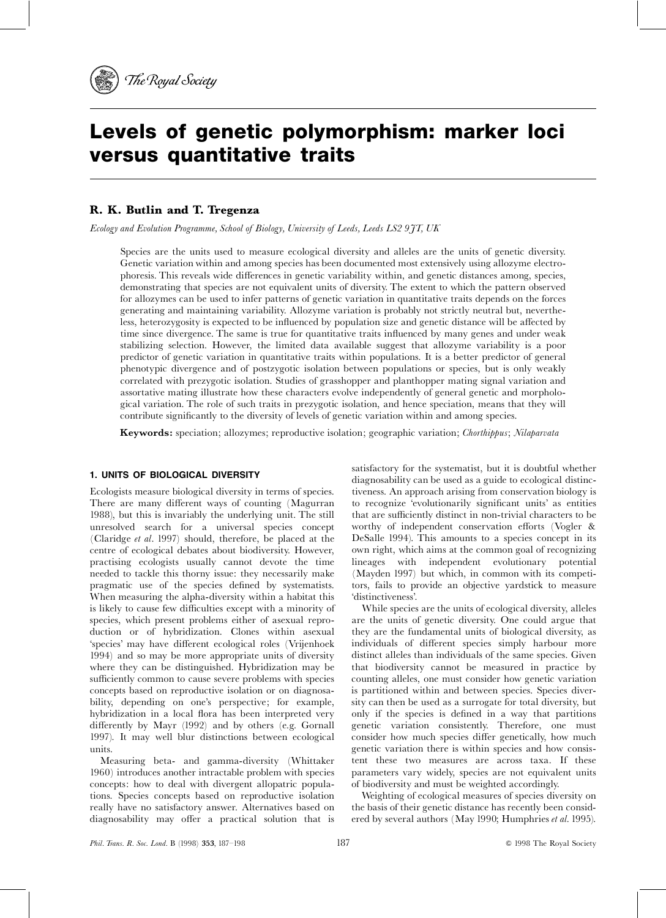# Levels of genetic polymorphism: marker loci versus quantitative traits

# R. K. Butlin and T. Tregenza

Ecology and Evolution Programme, School of Biology, University of Leeds, Leeds LS2 9JT, UK

Species are the units used to measure ecological diversity and alleles are the units of genetic diversity. Genetic variation within and among species has been documented most extensively using allozyme electrophoresis. This reveals wide differences in genetic variability within, and genetic distances among, species, demonstrating that species are not equivalent units of diversity. The extent to which the pattern observed for allozymes can be used to infer patterns of genetic variation in quantitative traits depends on the forces generating and maintaining variability. Allozyme variation is probably not strictly neutral but, nevertheless, heterozygosity is expected to be influenced by population size and genetic distance will be affected by time since divergence. The same is true for quantitative traits influenced by many genes and under weak stabilizing selection. However, the limited data available suggest that allozyme variability is a poor predictor of genetic variation in quantitative traits within populations. It is a better predictor of general phenotypic divergence and of postzygotic isolation between populations or species, but is only weakly correlated with prezygotic isolation. Studies of grasshopper and planthopper mating signal variation and assortative mating illustrate how these characters evolve independently of general genetic and morphological variation. The role of such traits in prezygotic isolation, and hence speciation, means that they will contribute significantly to the diversity of levels of genetic variation within and among species.

Keywords: speciation; allozymes; reproductive isolation; geographic variation; Chorthippus; Nilaparvata

## 1. UNITS OF BIOLOGICAL DIVERSITY

Ecologists measure biological diversity in terms of species. There are many different ways of counting (Magurran 1988), but this is invariably the underlying unit. The still unresolved search for a universal species concept (Claridge et al. 1997) should, therefore, be placed at the centre of ecological debates about biodiversity. However, practising ecologists usually cannot devote the time needed to tackle this thorny issue: they necessarily make pragmatic use of the species defined by systematists. When measuring the alpha-diversity within a habitat this is likely to cause few difficulties except with a minority of species, which present problems either of asexual reproduction or of hybridization. Clones within asexual 'species' may have different ecological roles (Vrijenhoek 1994) and so may be more appropriate units of diversity where they can be distinguished. Hybridization may be sufficiently common to cause severe problems with species concepts based on reproductive isolation or on diagnosability, depending on one's perspective; for example, hybridization in a local flora has been interpreted very differently by Mayr  $(1992)$  and by others (e.g. Gornall 1997). It may well blur distinctions between ecological units.

Measuring beta- and gamma-diversity (Whittaker 1960) introduces another intractable problem with species concepts: how to deal with divergent allopatric populations. Species concepts based on reproductive isolation really have no satisfactory answer. Alternatives based on diagnosability may offer a practical solution that is satisfactory for the systematist, but it is doubtful whether diagnosability can be used as a guide to ecological distinctiveness. An approach arising from conservation biology is to recognize 'evolutionarily significant units' as entities that are sufficiently distinct in non-trivial characters to be worthy of independent conservation efforts (Vogler  $\&$ DeSalle 1994). This amounts to a species concept in its own right, which aims at the common goal of recognizing lineages with independent evolutionary potential (Mayden 1997) but which, in common with its competitors, fails to provide an objective yardstick to measure `distinctiveness'.

While species are the units of ecological diversity, alleles are the units of genetic diversity. One could argue that they are the fundamental units of biological diversity, as individuals of different species simply harbour more distinct alleles than individuals of the same species. Given that biodiversity cannot be measured in practice by counting alleles, one must consider how genetic variation is partitioned within and between species. Species diversity can then be used as a surrogate for total diversity, but only if the species is de¢ned in a way that partitions genetic variation consistently. Therefore, one must consider how much species differ genetically, how much genetic variation there is within species and how consistent these two measures are across taxa. If these parameters vary widely, species are not equivalent units of biodiversity and must be weighted accordingly.

Weighting of ecological measures of species diversity on the basis of their genetic distance has recently been considered by several authors (May 1990; Humphries et al. 1995).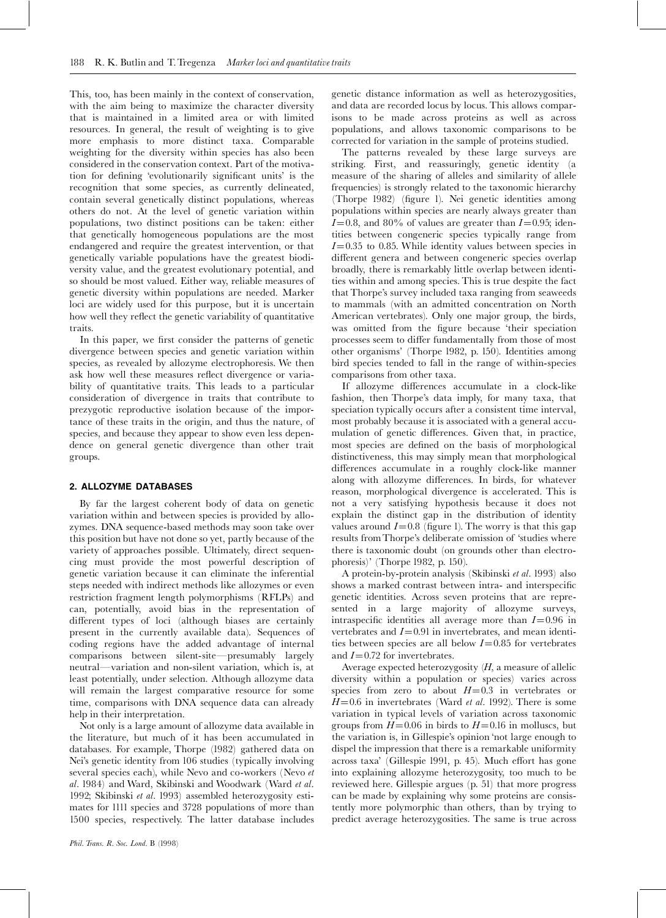This, too, has been mainly in the context of conservation, with the aim being to maximize the character diversity that is maintained in a limited area or with limited resources. In general, the result of weighting is to give more emphasis to more distinct taxa. Comparable weighting for the diversity within species has also been considered in the conservation context. Part of the motivation for defining 'evolutionarily significant units' is the recognition that some species, as currently delineated, contain several genetically distinct populations, whereas others do not. At the level of genetic variation within populations, two distinct positions can be taken: either that genetically homogeneous populations are the most endangered and require the greatest intervention, or that genetically variable populations have the greatest biodiversity value, and the greatest evolutionary potential, and so should be most valued. Either way, reliable measures of genetic diversity within populations are needed. Marker loci are widely used for this purpose, but it is uncertain how well they reflect the genetic variability of quantitative traits.

In this paper, we first consider the patterns of genetic divergence between species and genetic variation within species, as revealed by allozyme electrophoresis. We then ask how well these measures reflect divergence or variability of quantitative traits. This leads to a particular consideration of divergence in traits that contribute to prezygotic reproductive isolation because of the importance of these traits in the origin, and thus the nature, of species, and because they appear to show even less dependence on general genetic divergence than other trait groups.

#### 2. ALLOZYME DATABASES

By far the largest coherent body of data on genetic variation within and between species is provided by allozymes. DNA sequence-based methods may soon take over this position but have not done so yet, partly because of the variety of approaches possible. Ultimately, direct sequencing must provide the most powerful description of genetic variation because it can eliminate the inferential steps needed with indirect methods like allozymes or even restriction fragment length polymorphisms (RFLPs) and can, potentially, avoid bias in the representation of different types of loci (although biases are certainly present in the currently available data). Sequences of coding regions have the added advantage of internal comparisons between silent-site—presumably largely neutral—variation and non-silent variation, which is, at least potentially, under selection. Although allozyme data will remain the largest comparative resource for some time, comparisons with DNA sequence data can already help in their interpretation.

Not only is a large amount of allozyme data available in the literature, but much of it has been accumulated in databases. For example, Thorpe (1982) gathered data on Nei's genetic identity from 106 studies (typically involving several species each), while Nevo and co-workers (Nevo et al. 1984) and Ward, Skibinski and Woodwark (Ward et al. 1992; Skibinski et al. 1993) assembled heterozygosity estimates for 1111 species and 3728 populations of more than 1500 species, respectively. The latter database includes genetic distance information as well as heterozygosities, and data are recorded locus by locus. This allows comparisons to be made across proteins as well as across populations, and allows taxonomic comparisons to be corrected for variation in the sample of proteins studied.

The patterns revealed by these large surveys are striking. First, and reassuringly, genetic identity (a measure of the sharing of alleles and similarity of allele frequencies) is strongly related to the taxonomic hierarchy (Thorpe 1982) (figure 1). Nei genetic identities among populations within species are nearly always greater than  $I=0.8$ , and 80% of values are greater than  $I=0.95$ ; identities between congeneric species typically range from  $I=0.35$  to 0.85. While identity values between species in different genera and between congeneric species overlap broadly, there is remarkably little overlap between identities within and among species. This is true despite the fact that Thorpe's survey included taxa ranging from seaweeds to mammals (with an admitted concentration on North American vertebrates). Only one major group, the birds, was omitted from the figure because 'their speciation processes seem to differ fundamentally from those of most other organisms' (Thorpe 1982, p. 150). Identities among bird species tended to fall in the range of within-species comparisons from other taxa.

If allozyme differences accumulate in a clock-like fashion, then Thorpe's data imply, for many taxa, that speciation typically occurs after a consistent time interval, most probably because it is associated with a general accumulation of genetic differences. Given that, in practice, most species are defined on the basis of morphological distinctiveness, this may simply mean that morphological differences accumulate in a roughly clock-like manner along with allozyme differences. In birds, for whatever reason, morphological divergence is accelerated. This is not a very satisfying hypothesis because it does not explain the distinct gap in the distribution of identity values around  $I=0.8$  (figure 1). The worry is that this gap results fromThorpe's deliberate omission of `studies where there is taxonomic doubt (on grounds other than electrophoresis)' (Thorpe 1982, p. 150).

A protein-by-protein analysis (Skibinski et al. 1993) also shows a marked contrast between intra- and interspecific genetic identities. Across seven proteins that are represented in a large majority of allozyme surveys, intraspecific identities all average more than  $I=0.96$  in vertebrates and  $I=0.91$  in invertebrates, and mean identities between species are all below  $I=0.85$  for vertebrates and  $I=0.72$  for invertebrates.

Average expected heterozygosity (H, a measure of allelic diversity within a population or species) varies across species from zero to about  $H=0.3$  in vertebrates or  $H=0.6$  in invertebrates (Ward *et al.* 1992). There is some variation in typical levels of variation across taxonomic groups from  $H=0.06$  in birds to  $H=0.16$  in molluscs, but the variation is, in Gillespie's opinion `not large enough to dispel the impression that there is a remarkable uniformity across taxa' (Gillespie 1991, p. 45). Much effort has gone into explaining allozyme heterozygosity, too much to be reviewed here. Gillespie argues (p. 51) that more progress can be made by explaining why some proteins are consistently more polymorphic than others, than by trying to predict average heterozygosities. The same is true across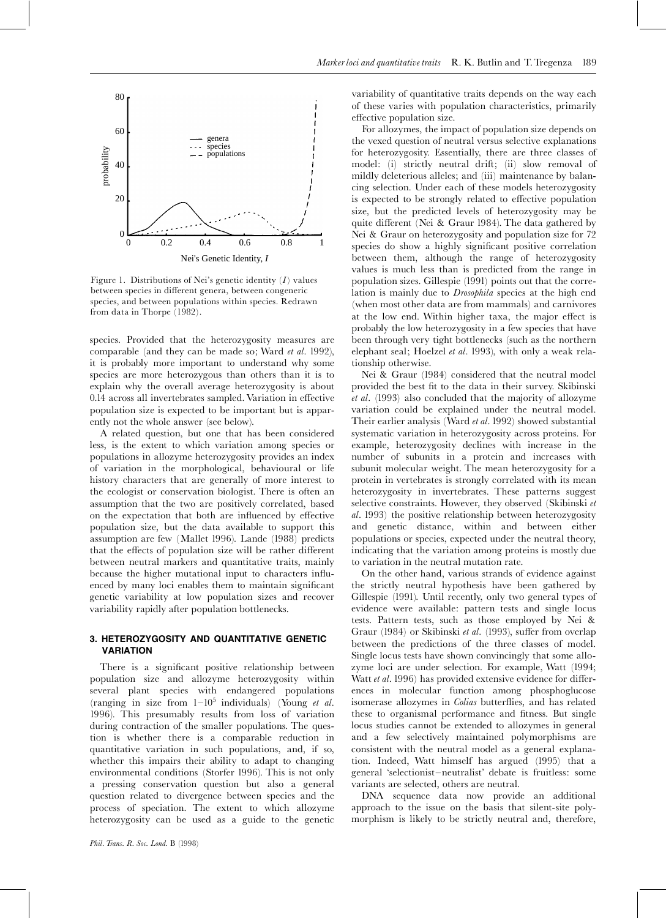

Figure 1. Distributions of Nei's genetic identity  $(I)$  values between species in different genera, between congeneric species, and between populations within species. Redrawn from data in Thorpe (1982).

species. Provided that the heterozygosity measures are comparable (and they can be made so; Ward et al. 1992), it is probably more important to understand why some species are more heterozygous than others than it is to explain why the overall average heterozygosity is about 0.14 across all invertebrates sampled. Variation in effective population size is expected to be important but is apparently not the whole answer (see below).

A related question, but one that has been considered less, is the extent to which variation among species or populations in allozyme heterozygosity provides an index of variation in the morphological, behavioural or life history characters that are generally of more interest to the ecologist or conservation biologist. There is often an assumption that the two are positively correlated, based on the expectation that both are influenced by effective population size, but the data available to support this assumption are few (Mallet 1996). Lande (1988) predicts that the effects of population size will be rather different between neutral markers and quantitative traits, mainly because the higher mutational input to characters influenced by many loci enables them to maintain significant genetic variability at low population sizes and recover variability rapidly after population bottlenecks.

#### 3. HETEROZYGOSITY AND QUANTITATIVE GENETIC VARIATION

There is a significant positive relationship between population size and allozyme heterozygosity within several plant species with endangered populations (ranging in size from  $1-10^5$  individuals) (Young et al. 1996). This presumably results from loss of variation during contraction of the smaller populations. The question is whether there is a comparable reduction in quantitative variation in such populations, and, if so, whether this impairs their ability to adapt to changing environmental conditions (Storfer 1996). This is not only a pressing conservation question but also a general question related to divergence between species and the process of speciation. The extent to which allozyme heterozygosity can be used as a guide to the genetic

variability of quantitative traits depends on the way each of these varies with population characteristics, primarily effective population size.

For allozymes, the impact of population size depends on the vexed question of neutral versus selective explanations for heterozygosity. Essentially, there are three classes of model: (i) strictly neutral drift; (ii) slow removal of mildly deleterious alleles; and (iii) maintenance by balancing selection. Under each of these models heterozygosity is expected to be strongly related to effective population size, but the predicted levels of heterozygosity may be quite different (Nei & Graur 1984). The data gathered by Nei & Graur on heterozygosity and population size for 72 species do show a highly significant positive correlation between them, although the range of heterozygosity values is much less than is predicted from the range in population sizes. Gillespie (1991) points out that the correlation is mainly due to Drosophila species at the high end (when most other data are from mammals) and carnivores at the low end. Within higher taxa, the major effect is probably the low heterozygosity in a few species that have been through very tight bottlenecks (such as the northern elephant seal; Hoelzel et al. 1993), with only a weak relationship otherwise.

Nei & Graur (1984) considered that the neutral model provided the best fit to the data in their survey. Skibinski et al. (1993) also concluded that the majority of allozyme variation could be explained under the neutral model. Their earlier analysis (Ward et al. 1992) showed substantial systematic variation in heterozygosity across proteins. For example, heterozygosity declines with increase in the number of subunits in a protein and increases with subunit molecular weight. The mean heterozygosity for a protein in vertebrates is strongly correlated with its mean heterozygosity in invertebrates. These patterns suggest selective constraints. However, they observed (Skibinski et al. 1993) the positive relationship between heterozygosity and genetic distance, within and between either populations or species, expected under the neutral theory, indicating that the variation among proteins is mostly due to variation in the neutral mutation rate.

On the other hand, various strands of evidence against the strictly neutral hypothesis have been gathered by Gillespie (1991). Until recently, only two general types of evidence were available: pattern tests and single locus tests. Pattern tests, such as those employed by Nei & Graur (1984) or Skibinski et al. (1993), suffer from overlap between the predictions of the three classes of model. Single locus tests have shown convincingly that some allozyme loci are under selection. For example, Watt (1994; Watt et al. 1996) has provided extensive evidence for differences in molecular function among phosphoglucose isomerase allozymes in *Colias* butterflies, and has related these to organismal performance and fitness. But single locus studies cannot be extended to allozymes in general and a few selectively maintained polymorphisms are consistent with the neutral model as a general explanation. Indeed, Watt himself has argued (1995) that a general 'selectionist-neutralist' debate is fruitless: some variants are selected, others are neutral.

DNA sequence data now provide an additional approach to the issue on the basis that silent-site polymorphism is likely to be strictly neutral and, therefore,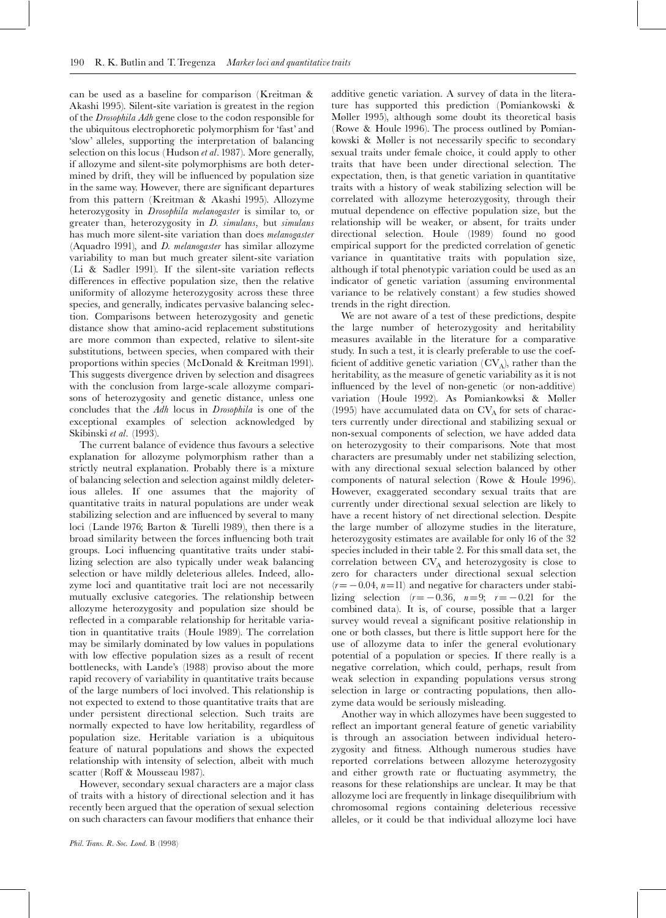can be used as a baseline for comparison (Kreitman & Akashi 1995). Silent-site variation is greatest in the region of the Drosophila Adh gene close to the codon responsible for the ubiquitous electrophoretic polymorphism for `fast' and `slow' alleles, supporting the interpretation of balancing selection on this locus (Hudson et al. 1987). More generally, if allozyme and silent-site polymorphisms are both determined by drift, they will be influenced by population size in the same way. However, there are significant departures from this pattern (Kreitman & Akashi 1995). Allozyme heterozygosity in Drosophila melanogaster is similar to, or greater than, heterozygosity in *D. simulans*, but *simulans* has much more silent-site variation than does melanogaster (Aquadro 1991), and D. melanogaster has similar allozyme variability to man but much greater silent-site variation (Li & Sadler 1991). If the silent-site variation reflects differences in effective population size, then the relative uniformity of allozyme heterozygosity across these three species, and generally, indicates pervasive balancing selection. Comparisons between heterozygosity and genetic distance show that amino-acid replacement substitutions are more common than expected, relative to silent-site substitutions, between species, when compared with their proportions within species (McDonald & Kreitman 1991). This suggests divergence driven by selection and disagrees with the conclusion from large-scale allozyme comparisons of heterozygosity and genetic distance, unless one concludes that the Adh locus in Drosophila is one of the exceptional examples of selection acknowledged by Skibinski et al. (1993).

The current balance of evidence thus favours a selective explanation for allozyme polymorphism rather than a strictly neutral explanation. Probably there is a mixture of balancing selection and selection against mildly deleterious alleles. If one assumes that the majority of quantitative traits in natural populations are under weak stabilizing selection and are influenced by several to many loci (Lande 1976; Barton & Turelli 1989), then there is a broad similarity between the forces influencing both trait groups. Loci influencing quantitative traits under stabilizing selection are also typically under weak balancing selection or have mildly deleterious alleles. Indeed, allozyme loci and quantitative trait loci are not necessarily mutually exclusive categories. The relationship between allozyme heterozygosity and population size should be reflected in a comparable relationship for heritable variation in quantitative traits (Houle 1989). The correlation may be similarly dominated by low values in populations with low effective population sizes as a result of recent bottlenecks, with Lande's (1988) proviso about the more rapid recovery of variability in quantitative traits because of the large numbers of loci involved. This relationship is not expected to extend to those quantitative traits that are under persistent directional selection. Such traits are normally expected to have low heritability, regardless of population size. Heritable variation is a ubiquitous feature of natural populations and shows the expected relationship with intensity of selection, albeit with much scatter (Roff & Mousseau 1987).

However, secondary sexual characters are a major class of traits with a history of directional selection and it has recently been argued that the operation of sexual selection on such characters can favour modifiers that enhance their

additive genetic variation. A survey of data in the literature has supported this prediction (Pomiankowski & Møller 1995), although some doubt its theoretical basis (Rowe & Houle 1996). The process outlined by Pomiankowski & Møller is not necessarily specific to secondary sexual traits under female choice, it could apply to other traits that have been under directional selection. The expectation, then, is that genetic variation in quantitative traits with a history of weak stabilizing selection will be correlated with allozyme heterozygosity, through their mutual dependence on effective population size, but the relationship will be weaker, or absent, for traits under directional selection. Houle (1989) found no good empirical support for the predicted correlation of genetic variance in quantitative traits with population size, although if total phenotypic variation could be used as an indicator of genetic variation (assuming environmental variance to be relatively constant) a few studies showed trends in the right direction.

We are not aware of a test of these predictions, despite the large number of heterozygosity and heritability measures available in the literature for a comparative study. In such a test, it is clearly preferable to use the coef ficient of additive genetic variation  $(CV_A)$ , rather than the heritability, as the measure of genetic variability as it is not influenced by the level of non-genetic (or non-additive) variation (Houle 1992). As Pomiankowksi & Møller (1995) have accumulated data on  $CV_A$  for sets of characters currently under directional and stabilizing sexual or non-sexual components of selection, we have added data on heterozygosity to their comparisons. Note that most characters are presumably under net stabilizing selection, with any directional sexual selection balanced by other components of natural selection (Rowe & Houle 1996). However, exaggerated secondary sexual traits that are currently under directional sexual selection are likely to have a recent history of net directional selection. Despite the large number of allozyme studies in the literature, heterozygosity estimates are available for only 16 of the 32 species included in their table 2. For this small data set, the correlation between  $CV_A$  and heterozygosity is close to zero for characters under directional sexual selection  $(r=-0.04, n=11)$  and negative for characters under stabilizing selection  $(r=-0.36, n=9; r=-0.21$  for the combined data). It is, of course, possible that a larger survey would reveal a significant positive relationship in one or both classes, but there is little support here for the use of allozyme data to infer the general evolutionary potential of a population or species. If there really is a negative correlation, which could, perhaps, result from weak selection in expanding populations versus strong selection in large or contracting populations, then allozyme data would be seriously misleading.

Another way in which allozymes have been suggested to reflect an important general feature of genetic variability is through an association between individual heterozygosity and fitness. Although numerous studies have reported correlations between allozyme heterozygosity and either growth rate or fluctuating asymmetry, the reasons for these relationships are unclear. It may be that allozyme loci are frequently in linkage disequilibrium with chromosomal regions containing deleterious recessive alleles, or it could be that individual allozyme loci have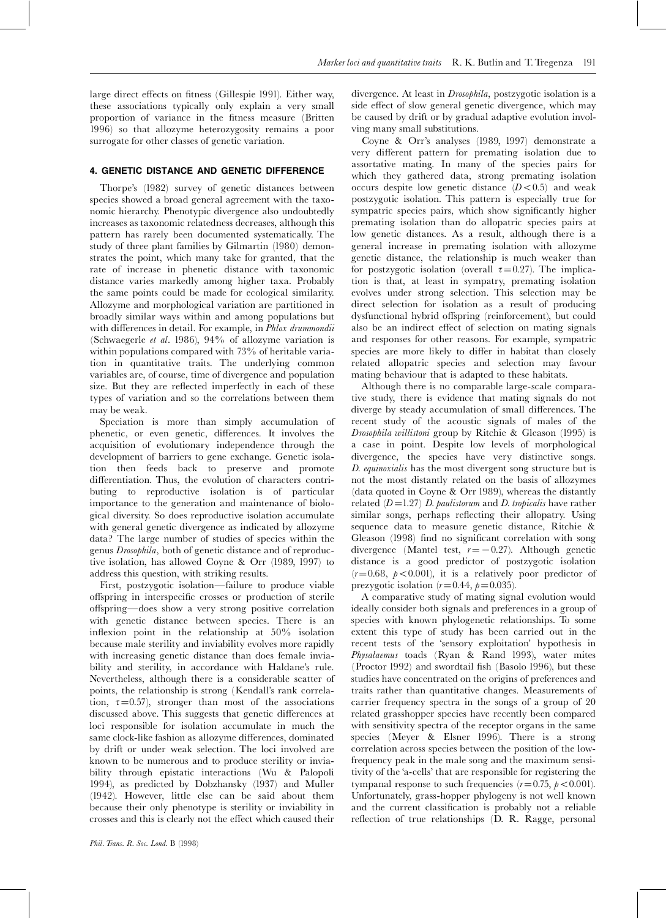large direct effects on fitness (Gillespie 1991). Either way, these associations typically only explain a very small proportion of variance in the fitness measure (Britten 1996) so that allozyme heterozygosity remains a poor surrogate for other classes of genetic variation.

### 4. GENETIC DISTANCE AND GENETIC DIFFERENCE

Thorpe's (1982) survey of genetic distances between species showed a broad general agreement with the taxonomic hierarchy. Phenotypic divergence also undoubtedly increases as taxonomic relatedness decreases, although this pattern has rarely been documented systematically. The study of three plant families by Gilmartin (1980) demonstrates the point, which many take for granted, that the rate of increase in phenetic distance with taxonomic distance varies markedly among higher taxa. Probably the same points could be made for ecological similarity. Allozyme and morphological variation are partitioned in broadly similar ways within and among populations but with differences in detail. For example, in Phlox drummondii (Schwaegerle et al. 1986), 94% of allozyme variation is within populations compared with 73% of heritable variation in quantitative traits. The underlying common variables are, of course, time of divergence and population size. But they are reflected imperfectly in each of these types of variation and so the correlations between them may be weak.

Speciation is more than simply accumulation of phenetic, or even genetic, differences. It involves the acquisition of evolutionary independence through the development of barriers to gene exchange. Genetic isolation then feeds back to preserve and promote differentiation. Thus, the evolution of characters contributing to reproductive isolation is of particular importance to the generation and maintenance of biological diversity. So does reproductive isolation accumulate with general genetic divergence as indicated by allozyme data? The large number of studies of species within the genus Drosophila, both of genetic distance and of reproductive isolation, has allowed Coyne & Orr (1989, 1997) to address this question, with striking results.

First, postzygotic isolation—failure to produce viable offspring in interspecific crosses or production of sterile offspring—does show a very strong positive correlation with genetic distance between species. There is an inflexion point in the relationship at  $50\%$  isolation because male sterility and inviability evolves more rapidly with increasing genetic distance than does female inviability and sterility, in accordance with Haldane's rule. Nevertheless, although there is a considerable scatter of points, the relationship is strong (Kendall's rank correlation,  $\tau=0.57$ ), stronger than most of the associations discussed above. This suggests that genetic differences at loci responsible for isolation accumulate in much the same clock-like fashion as allozyme differences, dominated by drift or under weak selection. The loci involved are known to be numerous and to produce sterility or inviability through epistatic interactions (Wu & Palopoli 1994), as predicted by Dobzhansky (1937) and Muller (1942). However, little else can be said about them because their only phenotype is sterility or inviability in crosses and this is clearly not the effect which caused their

divergence. At least in *Drosophila*, postzygotic isolation is a side effect of slow general genetic divergence, which may be caused by drift or by gradual adaptive evolution involving many small substitutions.

Coyne & Orr's analyses (1989, 1997) demonstrate a very different pattern for premating isolation due to assortative mating. In many of the species pairs for which they gathered data, strong premating isolation occurs despite low genetic distance  $(D<0.5)$  and weak postzygotic isolation. This pattern is especially true for sympatric species pairs, which show significantly higher premating isolation than do allopatric species pairs at low genetic distances. As a result, although there is a general increase in premating isolation with allozyme genetic distance, the relationship is much weaker than for postzygotic isolation (overall  $\tau=0.27$ ). The implication is that, at least in sympatry, premating isolation evolves under strong selection. This selection may be direct selection for isolation as a result of producing dysfunctional hybrid offspring (reinforcement), but could also be an indirect effect of selection on mating signals and responses for other reasons. For example, sympatric species are more likely to differ in habitat than closely related allopatric species and selection may favour mating behaviour that is adapted to these habitats.

Although there is no comparable large-scale comparative study, there is evidence that mating signals do not diverge by steady accumulation of small differences. The recent study of the acoustic signals of males of the Drosophila willistoni group by Ritchie & Gleason (1995) is a case in point. Despite low levels of morphological divergence, the species have very distinctive songs. D. equinoxialis has the most divergent song structure but is not the most distantly related on the basis of allozymes (data quoted in Coyne & Orr 1989), whereas the distantly related  $(D=1.27)$  D. paulistorum and D. tropicalis have rather similar songs, perhaps reflecting their allopatry. Using sequence data to measure genetic distance, Ritchie & Gleason (1998) find no significant correlation with song divergence (Mantel test,  $r=-0.27$ ). Although genetic distance is a good predictor of postzygotic isolation  $(r=0.68, p<0.001)$ , it is a relatively poor predictor of prezygotic isolation  $(r=0.44, p=0.035)$ .

A comparative study of mating signal evolution would ideally consider both signals and preferences in a group of species with known phylogenetic relationships. To some extent this type of study has been carried out in the recent tests of the `sensory exploitation' hypothesis in Physalaemus toads (Ryan & Rand 1993), water mites (Proctor 1992) and swordtail fish (Basolo 1996), but these studies have concentrated on the origins of preferences and traits rather than quantitative changes. Measurements of carrier frequency spectra in the songs of a group of 20 related grasshopper species have recently been compared with sensitivity spectra of the receptor organs in the same species (Meyer & Elsner 1996). There is a strong correlation across species between the position of the lowfrequency peak in the male song and the maximum sensitivity of the `a-cells' that are responsible for registering the tympanal response to such frequencies  $(r=0.75, \, p<0.001)$ . Unfortunately, grass-hopper phylogeny is not well known and the current classification is probably not a reliable reflection of true relationships (D. R. Ragge, personal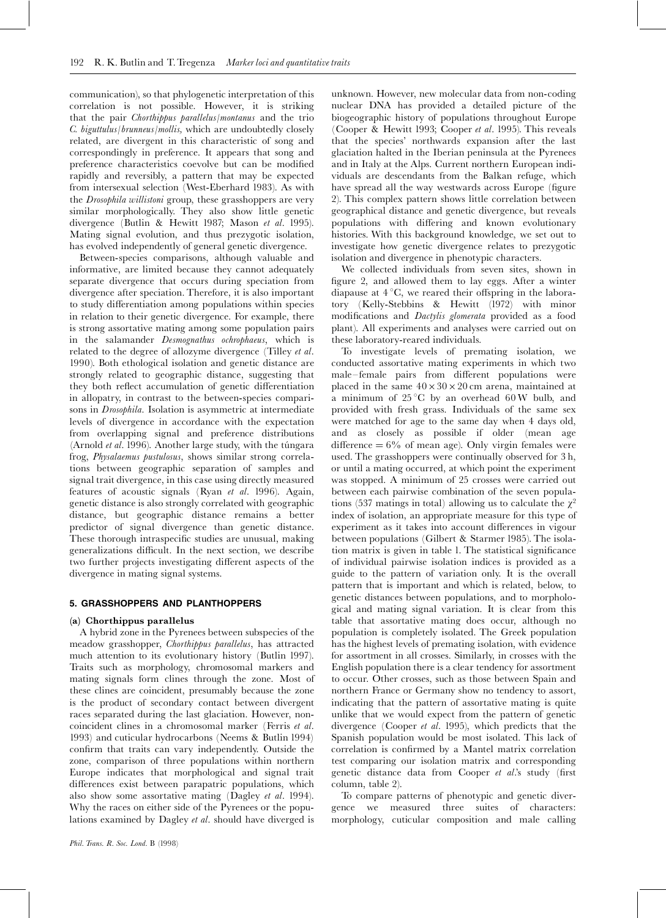communication), so that phylogenetic interpretation of this correlation is not possible. However, it is striking that the pair Chorthippus parallelus/montanus and the trio C. biguttulus/brunneus/mollis, which are undoubtedly closely related, are divergent in this characteristic of song and correspondingly in preference. It appears that song and preference characteristics coevolve but can be modified rapidly and reversibly, a pattern that may be expected from intersexual selection (West-Eberhard 1983). As with the Drosophila willistoni group, these grasshoppers are very similar morphologically. They also show little genetic divergence (Butlin & Hewitt 1987; Mason et al. 1995). Mating signal evolution, and thus prezygotic isolation, has evolved independently of general genetic divergence.

Between-species comparisons, although valuable and informative, are limited because they cannot adequately separate divergence that occurs during speciation from divergence after speciation. Therefore, it is also important to study differentiation among populations within species in relation to their genetic divergence. For example, there is strong assortative mating among some population pairs in the salamander Desmognathus ochrophaeus, which is related to the degree of allozyme divergence (Tilley et al. 1990). Both ethological isolation and genetic distance are strongly related to geographic distance, suggesting that they both reflect accumulation of genetic differentiation in allopatry, in contrast to the between-species comparisons in *Drosophila*. Isolation is asymmetric at intermediate levels of divergence in accordance with the expectation from overlapping signal and preference distributions (Arnold  $et$  al. 1996). Another large study, with the túngara frog, Physalaemus pustulosus, shows similar strong correlations between geographic separation of samples and signal trait divergence, in this case using directly measured features of acoustic signals (Ryan et al. 1996). Again, genetic distance is also strongly correlated with geographic distance, but geographic distance remains a better predictor of signal divergence than genetic distance. These thorough intraspecific studies are unusual, making generalizations difficult. In the next section, we describe two further projects investigating different aspects of the divergence in mating signal systems.

#### 5. GRASSHOPPERS AND PLANTHOPPERS

#### (a) Chorthippus parallelus

A hybrid zone in the Pyrenees between subspecies of the meadow grasshopper, Chorthippus parallelus, has attracted much attention to its evolutionary history (Butlin 1997). Traits such as morphology, chromosomal markers and mating signals form clines through the zone. Most of these clines are coincident, presumably because the zone is the product of secondary contact between divergent races separated during the last glaciation. However, noncoincident clines in a chromosomal marker (Ferris et al. 1993) and cuticular hydrocarbons (Neems & Butlin 1994) confirm that traits can vary independently. Outside the zone, comparison of three populations within northern Europe indicates that morphological and signal trait differences exist between parapatric populations, which also show some assortative mating (Dagley et al. 1994). Why the races on either side of the Pyrenees or the populations examined by Dagley et al. should have diverged is unknown. However, new molecular data from non-coding nuclear DNA has provided a detailed picture of the biogeographic history of populations throughout Europe (Cooper & Hewitt 1993; Cooper et al. 1995). This reveals that the species' northwards expansion after the last glaciation halted in the Iberian peninsula at the Pyrenees and in Italy at the Alps. Current northern European individuals are descendants from the Balkan refuge, which have spread all the way westwards across Europe (figure 2). This complex pattern shows little correlation between geographical distance and genetic divergence, but reveals populations with differing and known evolutionary histories. With this background knowledge, we set out to investigate how genetic divergence relates to prezygotic isolation and divergence in phenotypic characters.

We collected individuals from seven sites, shown in figure 2, and allowed them to lay eggs. After a winter diapause at  $4^{\circ}$ C, we reared their offspring in the laboratory (Kelly-Stebbins & Hewitt (1972) with minor modifications and Dactylis glomerata provided as a food plant). All experiments and analyses were carried out on these laboratory-reared individuals.

To investigate levels of premating isolation, we conducted assortative mating experiments in which two male-female pairs from different populations were placed in the same  $40 \times 30 \times 20$  cm arena, maintained at a minimum of  $25^{\circ}$ C by an overhead 60 W bulb, and provided with fresh grass. Individuals of the same sex were matched for age to the same day when 4 days old, and as closely as possible if older (mean age difference  $= 6\%$  of mean age). Only virgin females were used. The grasshoppers were continually observed for 3 h, or until a mating occurred, at which point the experiment was stopped. A minimum of 25 crosses were carried out between each pairwise combination of the seven populations (537 matings in total) allowing us to calculate the  $\chi^2$ index of isolation, an appropriate measure for this type of experiment as it takes into account differences in vigour between populations (Gilbert & Starmer 1985). The isolation matrix is given in table 1. The statistical significance of individual pairwise isolation indices is provided as a guide to the pattern of variation only. It is the overall pattern that is important and which is related, below, to genetic distances between populations, and to morphological and mating signal variation. It is clear from this table that assortative mating does occur, although no population is completely isolated. The Greek population has the highest levels of premating isolation, with evidence for assortment in all crosses. Similarly, in crosses with the English population there is a clear tendency for assortment to occur. Other crosses, such as those between Spain and northern France or Germany show no tendency to assort, indicating that the pattern of assortative mating is quite unlike that we would expect from the pattern of genetic divergence (Cooper et al. 1995), which predicts that the Spanish population would be most isolated. This lack of correlation is confirmed by a Mantel matrix correlation test comparing our isolation matrix and corresponding genetic distance data from Cooper et al.'s study (first column, table 2).

To compare patterns of phenotypic and genetic divergence we measured three suites of characters: morphology, cuticular composition and male calling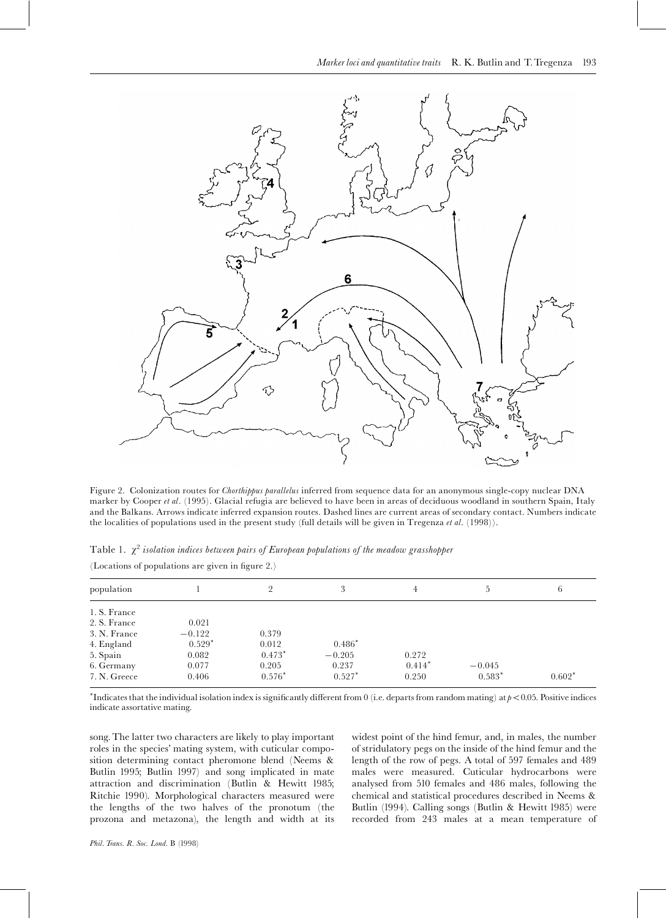

Figure 2. Colonization routes for *Chorthippus parallelus* inferred from sequence data for an anonymous single-copy nuclear DNA marker by Cooper et al. (1995). Glacial refugia are believed to have been in areas of deciduous woodland in southern Spain, Italy and the Balkans. Arrows indicate inferred expansion routes. Dashed lines are current areas of secondary contact. Numbers indicate the localities of populations used in the present study (full details will be given in Tregenza et al. (1998)).

Table 1.  $\chi^2$  isolation indices between pairs of European populations of the meadow grasshopper

| population                                                                           |                                                 | $\Omega$                            | 3                             | 4                 | 5        | 6        |
|--------------------------------------------------------------------------------------|-------------------------------------------------|-------------------------------------|-------------------------------|-------------------|----------|----------|
| 1. S. France<br>2. S. France<br>3. N. France<br>4. England<br>5. Spain<br>6. Germany | 0.021<br>$-0.122$<br>$0.529*$<br>0.082<br>0.077 | 0.379<br>0.012<br>$0.473*$<br>0.205 | $0.486*$<br>$-0.205$<br>0.237 | 0.272<br>$0.414*$ | $-0.045$ |          |
| 7. N. Greece                                                                         | 0.406                                           | $0.576*$                            | $0.527*$                      | 0.250             | $0.583*$ | $0.602*$ |

(Locations of populations are given in figure 2.)

\*Indicates that the individual isolation index is significantly different from 0 (i.e. departs from random mating) at  $p < 0.05$ . Positive indices indicate assortative mating.

song. The latter two characters are likely to play important roles in the species' mating system, with cuticular composition determining contact pheromone blend (Neems & Butlin 1995; Butlin 1997) and song implicated in mate attraction and discrimination (Butlin & Hewitt 1985; Ritchie 1990). Morphological characters measured were the lengths of the two halves of the pronotum (the prozona and metazona), the length and width at its widest point of the hind femur, and, in males, the number of stridulatory pegs on the inside of the hind femur and the length of the row of pegs. A total of 597 females and 489 males were measured. Cuticular hydrocarbons were analysed from 510 females and 486 males, following the chemical and statistical procedures described in Neems & Butlin (1994). Calling songs (Butlin & Hewitt 1985) were recorded from 243 males at a mean temperature of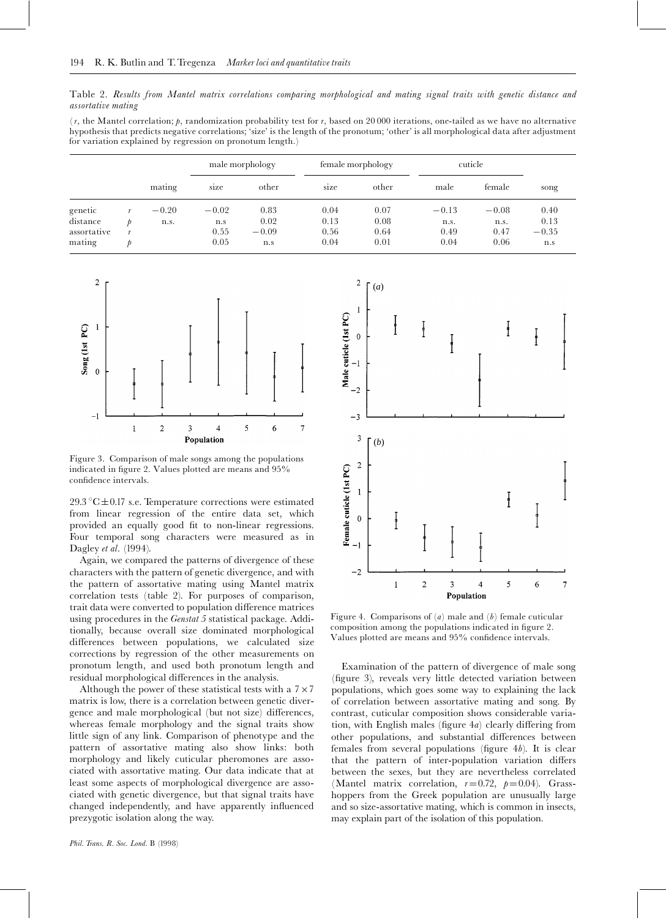Table 2. Results from Mantel matrix correlations comparing morphological and mating signal traits with genetic distance and assortative mating

 $(r,$  the Mantel correlation;  $p$ , randomization probability test for  $r$ , based on 20 000 iterations, one-tailed as we have no alternative hypothesis that predicts negative correlations; `size' is the length of the pronotum; `other' is all morphological data after adjustment for variation explained by regression on pronotum length.)

|             |   |         | male morphology |         | female morphology |       | cuticle |         |         |  |
|-------------|---|---------|-----------------|---------|-------------------|-------|---------|---------|---------|--|
|             |   | mating  | size            | other   | size              | other | male    | female  | song    |  |
| genetic     | r | $-0.20$ | $-0.02$         | 0.83    | 0.04              | 0.07  | $-0.13$ | $-0.08$ | 0.40    |  |
| distance    |   | n.s.    | n.s             | 0.02    | 0.13              | 0.08  | n.s.    | n.s.    | 0.13    |  |
| assortative | r |         | 0.55            | $-0.09$ | 0.56              | 0.64  | 0.49    | 0.47    | $-0.35$ |  |
| mating      |   |         | 0.05            | n.s     | 0.04              | 0.01  | 0.04    | 0.06    | n.s     |  |



Figure 3. Comparison of male songs among the populations indicated in figure 2. Values plotted are means and  $95\%$ con¢dence intervals.

 $29.3 \text{ °C} \pm 0.17$  s.e. Temperature corrections were estimated from linear regression of the entire data set, which provided an equally good fit to non-linear regressions. Four temporal song characters were measured as in Dagley et al. (1994).

Again, we compared the patterns of divergence of these characters with the pattern of genetic divergence, and with the pattern of assortative mating using Mantel matrix correlation tests (table 2). For purposes of comparison, trait data were converted to population difference matrices using procedures in the Genstat 5 statistical package. Additionally, because overall size dominated morphological differences between populations, we calculated size corrections by regression of the other measurements on pronotum length, and used both pronotum length and residual morphological differences in the analysis.

Although the power of these statistical tests with a  $7 \times 7$ matrix is low, there is a correlation between genetic divergence and male morphological (but not size) differences, whereas female morphology and the signal traits show little sign of any link. Comparison of phenotype and the pattern of assortative mating also show links: both morphology and likely cuticular pheromones are associated with assortative mating. Our data indicate that at least some aspects of morphological divergence are associated with genetic divergence, but that signal traits have changed independently, and have apparently influenced prezygotic isolation along the way.



Figure 4. Comparisons of  $(a)$  male and  $(b)$  female cuticular composition among the populations indicated in figure 2. Values plotted are means and 95% confidence intervals.

Examination of the pattern of divergence of male song (figure 3), reveals very little detected variation between populations, which goes some way to explaining the lack of correlation between assortative mating and song. By contrast, cuticular composition shows considerable variation, with English males (figure  $4a$ ) clearly differing from other populations, and substantial differences between females from several populations (figure  $4b$ ). It is clear that the pattern of inter-population variation differs between the sexes, but they are nevertheless correlated (Mantel matrix correlation,  $r=0.72$ ,  $p=0.04$ ). Grasshoppers from the Greek population are unusually large and so size-assortative mating, which is common in insects, may explain part of the isolation of this population.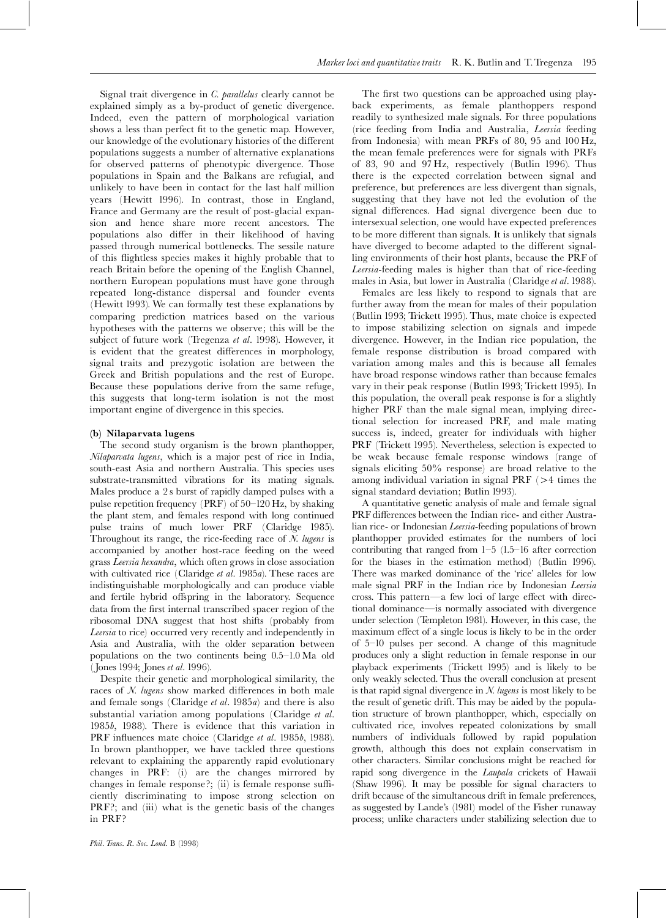Signal trait divergence in C. parallelus clearly cannot be explained simply as a by-product of genetic divergence. Indeed, even the pattern of morphological variation shows a less than perfect fit to the genetic map. However, our knowledge of the evolutionary histories of the different populations suggests a number of alternative explanations for observed patterns of phenotypic divergence. Those populations in Spain and the Balkans are refugial, and unlikely to have been in contact for the last half million years (Hewitt 1996). In contrast, those in England, France and Germany are the result of post-glacial expansion and hence share more recent ancestors. The populations also differ in their likelihood of having passed through numerical bottlenecks. The sessile nature of this £ightless species makes it highly probable that to reach Britain before the opening of the English Channel, northern European populations must have gone through repeated long-distance dispersal and founder events (Hewitt 1993). We can formally test these explanations by comparing prediction matrices based on the various hypotheses with the patterns we observe; this will be the subject of future work (Tregenza et al. 1998). However, it is evident that the greatest differences in morphology, signal traits and prezygotic isolation are between the Greek and British populations and the rest of Europe. Because these populations derive from the same refuge, this suggests that long-term isolation is not the most important engine of divergence in this species.

#### (b) Nilaparvata lugens

The second study organism is the brown planthopper, Nilaparvata lugens, which is a major pest of rice in India, south-east Asia and northern Australia. This species uses substrate-transmitted vibrations for its mating signals. Males produce a 2 s burst of rapidly damped pulses with a pulse repetition frequency (PRF) of 50^120 Hz, by shaking the plant stem, and females respond with long continued pulse trains of much lower PRF (Claridge 1985). Throughout its range, the rice-feeding race of N. lugens is accompanied by another host-race feeding on the weed grass Leersia hexandra, which often grows in close association with cultivated rice (Claridge et al. 1985a). These races are indistinguishable morphologically and can produce viable and fertile hybrid offspring in the laboratory. Sequence data from the first internal transcribed spacer region of the ribosomal DNA suggest that host shifts (probably from Leersia to rice) occurred very recently and independently in Asia and Australia, with the older separation between populations on the two continents being 0.5^1.0 Ma old (Jones 1994; Jones et al. 1996).

Despite their genetic and morphological similarity, the races of  $N$ . lugens show marked differences in both male and female songs (Claridge et al. 1985a) and there is also substantial variation among populations (Claridge et al. 1985b, 1988). There is evidence that this variation in PRF influences mate choice (Claridge et al. 1985b, 1988). In brown planthopper, we have tackled three questions relevant to explaining the apparently rapid evolutionary changes in PRF: (i) are the changes mirrored by changes in female response?; (ii) is female response sufficiently discriminating to impose strong selection on PRF?; and (iii) what is the genetic basis of the changes in PRF?

The first two questions can be approached using playback experiments, as female planthoppers respond readily to synthesized male signals. For three populations (rice feeding from India and Australia, Leersia feeding from Indonesia) with mean PRFs of 80, 95 and 100 Hz, the mean female preferences were for signals with PRFs of 83, 90 and 97 Hz, respectively (Butlin 1996). Thus there is the expected correlation between signal and preference, but preferences are less divergent than signals, suggesting that they have not led the evolution of the signal differences. Had signal divergence been due to intersexual selection, one would have expected preferences to be more different than signals. It is unlikely that signals have diverged to become adapted to the different signalling environments of their host plants, because the PRF of Leersia-feeding males is higher than that of rice-feeding males in Asia, but lower in Australia (Claridge et al. 1988).

Females are less likely to respond to signals that are further away from the mean for males of their population (Butlin 1993; Trickett 1995). Thus, mate choice is expected to impose stabilizing selection on signals and impede divergence. However, in the Indian rice population, the female response distribution is broad compared with variation among males and this is because all females have broad response windows rather than because females vary in their peak response (Butlin 1993; Trickett 1995). In this population, the overall peak response is for a slightly higher PRF than the male signal mean, implying directional selection for increased PRF, and male mating success is, indeed, greater for individuals with higher PRF (Trickett 1995). Nevertheless, selection is expected to be weak because female response windows (range of signals eliciting 50% response) are broad relative to the among individual variation in signal PRF  $(>4$  times the signal standard deviation; Butlin 1993).

A quantitative genetic analysis of male and female signal PRF differences between the Indian rice- and either Australian rice- or Indonesian Leersia-feeding populations of brown planthopper provided estimates for the numbers of loci contributing that ranged from  $1-5$  (1.5-16 after correction for the biases in the estimation method) (Butlin 1996). There was marked dominance of the `rice' alleles for low male signal PRF in the Indian rice by Indonesian Leersia cross. This pattern—a few loci of large effect with directional dominance—is normally associated with divergence under selection (Templeton 1981). However, in this case, the maximum effect of a single locus is likely to be in the order of 5^10 pulses per second. A change of this magnitude produces only a slight reduction in female response in our playback experiments (Trickett 1995) and is likely to be only weakly selected. Thus the overall conclusion at present is that rapid signal divergence in  $N$ . lugens is most likely to be the result of genetic drift. This may be aided by the population structure of brown planthopper, which, especially on cultivated rice, involves repeated colonizations by small numbers of individuals followed by rapid population growth, although this does not explain conservatism in other characters. Similar conclusions might be reached for rapid song divergence in the Laupala crickets of Hawaii (Shaw 1996). It may be possible for signal characters to drift because of the simultaneous drift in female preferences, as suggested by Lande's (1981) model of the Fisher runaway process; unlike characters under stabilizing selection due to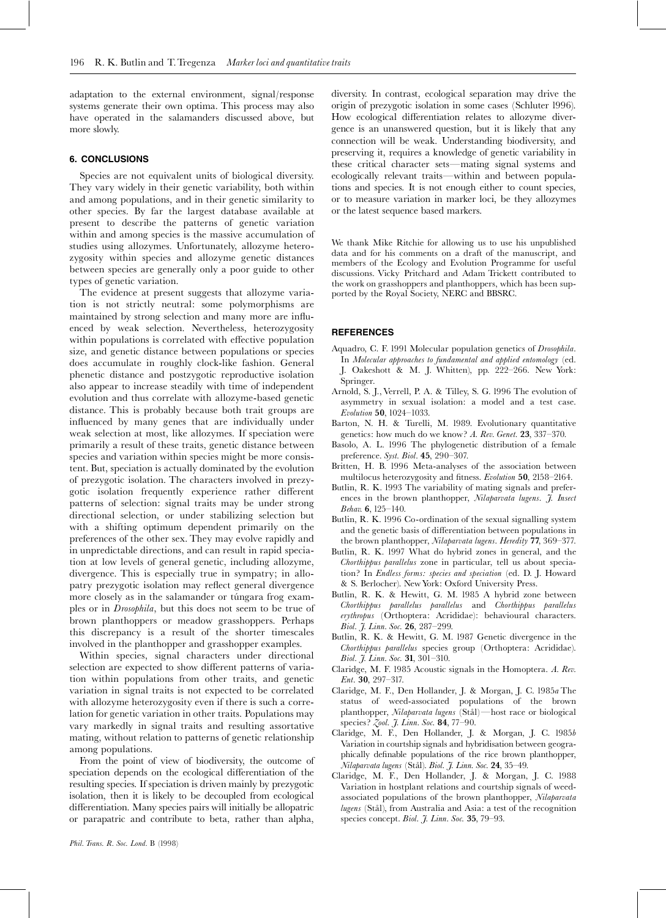adaptation to the external environment, signal/response systems generate their own optima. This process may also have operated in the salamanders discussed above, but more slowly.

# 6. CONCLUSIONS

Species are not equivalent units of biological diversity. They vary widely in their genetic variability, both within and among populations, and in their genetic similarity to other species. By far the largest database available at present to describe the patterns of genetic variation within and among species is the massive accumulation of studies using allozymes. Unfortunately, allozyme heterozygosity within species and allozyme genetic distances between species are generally only a poor guide to other types of genetic variation.

The evidence at present suggests that allozyme variation is not strictly neutral: some polymorphisms are maintained by strong selection and many more are influenced by weak selection. Nevertheless, heterozygosity within populations is correlated with effective population size, and genetic distance between populations or species does accumulate in roughly clock-like fashion. General phenetic distance and postzygotic reproductive isolation also appear to increase steadily with time of independent evolution and thus correlate with allozyme-based genetic distance. This is probably because both trait groups are influenced by many genes that are individually under weak selection at most, like allozymes. If speciation were primarily a result of these traits, genetic distance between species and variation within species might be more consistent. But, speciation is actually dominated by the evolution of prezygotic isolation. The characters involved in prezygotic isolation frequently experience rather different patterns of selection: signal traits may be under strong directional selection, or under stabilizing selection but with a shifting optimum dependent primarily on the preferences of the other sex. They may evolve rapidly and in unpredictable directions, and can result in rapid speciation at low levels of general genetic, including allozyme, divergence. This is especially true in sympatry; in allopatry prezygotic isolation may reflect general divergence more closely as in the salamander or túngara frog examples or in Drosophila, but this does not seem to be true of brown planthoppers or meadow grasshoppers. Perhaps this discrepancy is a result of the shorter timescales involved in the planthopper and grasshopper examples.

Within species, signal characters under directional selection are expected to show different patterns of variation within populations from other traits, and genetic variation in signal traits is not expected to be correlated with allozyme heterozygosity even if there is such a correlation for genetic variation in other traits. Populations may vary markedly in signal traits and resulting assortative mating, without relation to patterns of genetic relationship among populations.

From the point of view of biodiversity, the outcome of speciation depends on the ecological differentiation of the resulting species. If speciation is driven mainly by prezygotic isolation, then it is likely to be decoupled from ecological differentiation. Many species pairs will initially be allopatric or parapatric and contribute to beta, rather than alpha,

diversity. In contrast, ecological separation may drive the origin of prezygotic isolation in some cases (Schluter 1996). How ecological differentiation relates to allozyme divergence is an unanswered question, but it is likely that any connection will be weak. Understanding biodiversity, and preserving it, requires a knowledge of genetic variability in these critical character sets—mating signal systems and ecologically relevant traits—within and between populations and species. It is not enough either to count species, or to measure variation in marker loci, be they allozymes or the latest sequence based markers.

We thank Mike Ritchie for allowing us to use his unpublished data and for his comments on a draft of the manuscript, and members of the Ecology and Evolution Programme for useful discussions. Vicky Pritchard and Adam Trickett contributed to the work on grasshoppers and planthoppers, which has been supported by the Royal Society, NERC and BBSRC.

#### **REFERENCES**

- Aquadro, C. F. 1991 Molecular population genetics of Drosophila. In Molecular approaches to fundamental and applied entomology (ed. J. Oakeshott & M. J. Whitten), pp. 222^266. New York: Springer.
- Arnold, S. J., Verrell, P. A. & Tilley, S. G. 1996 The evolution of asymmetry in sexual isolation: a model and a test case. Evolution 50,  $1024-1033$ .
- Barton, N. H. & Turelli, M. 1989. Evolutionary quantitative genetics: how much do we know? A. Rev. Genet. 23, 337-370.
- Basolo, A. L. 1996 The phylogenetic distribution of a female preference. Syst. Biol. 45, 290-307.
- Britten, H. B. 1996 Meta-analyses of the association between multilocus heterozygosity and fitness. Evolution 50, 2158-2164.
- Butlin, R. K. 1993 The variability of mating signals and preferences in the brown planthopper, Nilaparvata lugens. J. Insect Behav.  $6.125 - 140$ .
- Butlin, R. K. 1996 Co-ordination of the sexual signalling system and the genetic basis of differentiation between populations in the brown planthopper, Nilaparvata lugens. Heredity 77, 369-377.
- Butlin, R. K. 1997 What do hybrid zones in general, and the Chorthippus parallelus zone in particular, tell us about speciation? In Endless forms: species and speciation (ed. D. J. Howard & S. Berlocher). NewYork: Oxford University Press.
- Butlin, R. K. & Hewitt, G. M. 1985 A hybrid zone between Chorthippus parallelus parallelus and Chorthippus parallelus erythropus (Orthoptera: Acrididae): behavioural characters. Biol. J. Linn. Soc. 26, 287-299.
- Butlin, R. K. & Hewitt, G. M. 1987 Genetic divergence in the Chorthippus parallelus species group (Orthoptera: Acrididae). Biol. J. Linn. Soc. 31, 301-310.
- Claridge, M. F. 1985 Acoustic signals in the Homoptera. A. Rev. Ent. 30, 297-317.
- Claridge, M. F., Den Hollander, J. & Morgan, J. C. 1985a The status of weed-associated populations of the brown planthopper, Nilaparvata lugens (Stål)-host race or biological species? Zool. J. Linn. Soc. 84, 77-90.
- Claridge, M. F., Den Hollander, J. & Morgan, J. C. 1985b Variation in courtship signals and hybridisation between geographically definable populations of the rice brown planthopper, Nilaparvata lugens (Stål). Biol. J. Linn. Soc. 24, 35-49.
- Claridge, M. F., Den Hollander, J. & Morgan, J. C. 1988 Variation in hostplant relations and courtship signals of weedassociated populations of the brown planthopper, Nilaparvata lugens (Stål), from Australia and Asia: a test of the recognition species concept. *Biol.* J. Linn. Soc. 35, 79-93.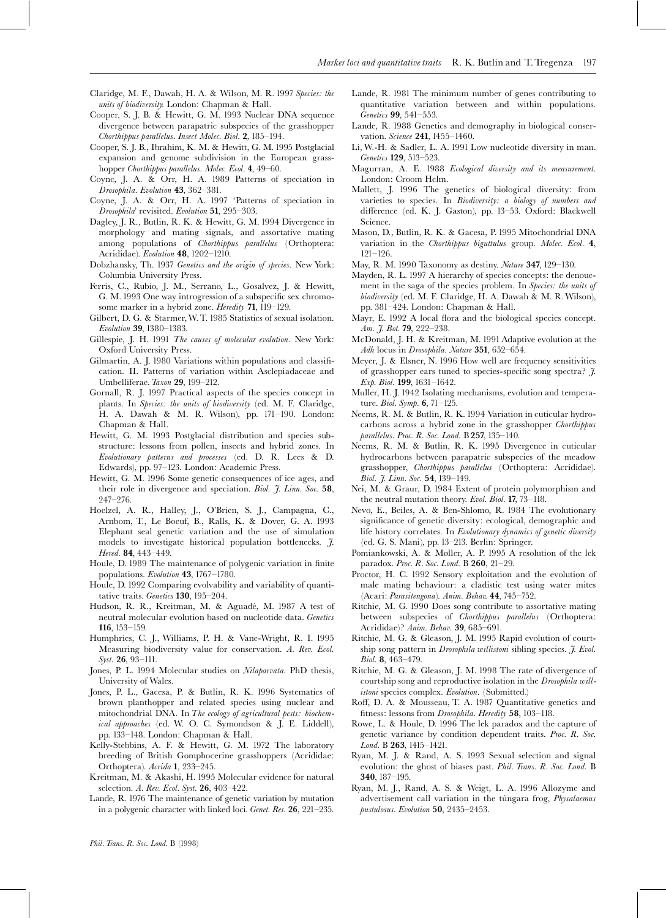Claridge, M. F., Dawah, H. A. & Wilson, M. R. 1997 Species: the units of biodiversity. London: Chapman & Hall.

- Cooper, S. J. B. & Hewitt, G. M. 1993 Nuclear DNA sequence divergence between parapatric subspecies of the grasshopper Chorthippus parallelus. Insect Molec. Biol. 2, 185-194.
- Cooper, S. J. B., Ibrahim, K. M. & Hewitt, G. M. 1995 Postglacial expansion and genome subdivision in the European grasshopper Chorthippus parallelus. Molec. Ecol. 4, 49-60.
- Coyne, J. A. & Orr, H. A. 1989 Patterns of speciation in Drosophila. Evolution 43, 362-381.
- Coyne, J. A. & Orr, H. A. 1997 `Patterns of speciation in Drosophila' revisited. Evolution 51, 295-303.
- Dagley, J. R., Butlin, R. K. & Hewitt, G. M. 1994 Divergence in morphology and mating signals, and assortative mating among populations of Chorthippus parallelus (Orthoptera: Acrididae). Evolution 48, 1202-1210.
- Dobzhansky, Th. 1937 Genetics and the origin of species. New York: Columbia University Press.
- Ferris, C., Rubio, J. M., Serrano, L., Gosalvez, J. & Hewitt, G. M. 1993 One way introgression of a subspecific sex chromosome marker in a hybrid zone. *Heredity* **71**, 119-129.
- Gilbert, D. G. & Starmer,W. T. 1985 Statistics of sexual isolation. Evolution 39, 1380-1383.
- Gillespie, J. H. 1991 The causes of molecular evolution. New York: Oxford University Press.
- Gilmartin, A. J. 1980 Variations within populations and classification. II. Patterns of variation within Asclepiadaceae and Umbelliferae. Taxon 29, 199-212.
- Gornall, R. J. 1997 Practical aspects of the species concept in plants. In Species: the units of biodiversity (ed. M. F. Claridge, H. A. Dawah & M. R. Wilson), pp. 171^190. London: Chapman & Hall.
- Hewitt, G. M. 1993 Postglacial distribution and species substructure: lessons from pollen, insects and hybrid zones. In Evolutionary patterns and processes (ed. D. R. Lees & D. Edwards), pp. 97^123. London: Academic Press.
- Hewitt, G. M. 1996 Some genetic consequences of ice ages, and their role in divergence and speciation. Biol. J. Linn. Soc. 58,  $247 - 276$ .
- Hoelzel, A. R., Halley, J., O'Brien, S. J., Campagna, C., Arnbom, T., Le Boeuf, B., Ralls, K. & Dover, G. A. 1993 Elephant seal genetic variation and the use of simulation models to investigate historical population bottlenecks. J. Hered. **84**, 443-449.
- Houle, D. 1989 The maintenance of polygenic variation in finite populations. Evolution 43, 1767-1780.
- Houle, D. 1992 Comparing evolvability and variability of quantitative traits. Genetics 130, 195-204.
- Hudson, R. R., Kreitman, M. & Aguadé, M. 1987 A test of neutral molecular evolution based on nucleotide data. Genetics 116, 153-159.
- Humphries, C. J., Williams, P. H. & Vane-Wright, R. I. 1995 Measuring biodiversity value for conservation. A. Rev. Ecol. Syst. 26, 93-111.
- Jones, P. L. 1994 Molecular studies on Nilaparvata. PhD thesis, University of Wales.
- Jones, P. L., Gacesa, P. & Butlin, R. K. 1996 Systematics of brown planthopper and related species using nuclear and mitochondrial DNA. In The ecology of agricultural pests: biochemical approaches (ed. W. O. C. Symondson & J. E. Liddell), pp. 133-148. London: Chapman & Hall.
- Kelly-Stebbins, A. F. & Hewitt, G. M. 1972 The laboratory breeding of British Gomphocerine grasshoppers (Acrididae: Orthoptera). Acrida 1, 233-245.
- Kreitman, M. & Akashi, H. 1995 Molecular evidence for natural selection. A. Rev. Ecol. Syst. 26, 403-422.
- Lande, R. 1976 The maintenance of genetic variation by mutation in a polygenic character with linked loci. Genet. Res. 26, 221-235.
- Lande, R. 1981 The minimum number of genes contributing to quantitative variation between and within populations. Genetics **99**, 541-553.
- Lande, R. 1988 Genetics and demography in biological conservation. Science 241, 1455-1460.
- Li, W.-H. & Sadler, L. A. 1991 Low nucleotide diversity in man. Genetics 129, 513-523.
- Magurran, A. E. 1988 Ecological diversity and its measurement. London: Croom Helm.
- Mallett, J. 1996 The genetics of biological diversity: from varieties to species. In Biodiversity: a biology of numbers and difference (ed. K. J. Gaston), pp. 13-53. Oxford: Blackwell Science.
- Mason, D., Butlin, R. K. & Gacesa, P. 1995 Mitochondrial DNA variation in the Chorthippus biguttulus group. Molec. Ecol. 4,  $121 - 126$ .
- May, R. M. 1990 Taxonomy as destiny. Nature 347, 129-130.
- Mayden, R. L. 1997 A hierarchy of species concepts: the denouement in the saga of the species problem. In Species: the units of biodiversity (ed. M. F. Claridge, H. A. Dawah & M. R.Wilson), pp. 381^424. London: Chapman & Hall.
- Mayr, E. 1992 A local flora and the biological species concept. Am. J. Bot. 79, 222-238.
- McDonald, J. H. & Kreitman, M. 1991 Adaptive evolution at the Adh locus in Drosophila. Nature 351, 652-654.
- Meyer, J. & Elsner, N. 1996 How well are frequency sensitivities of grasshopper ears tuned to species-specific song spectra?  $\tilde{J}$ . Exp. Biol. 199,  $1631-1642$ .
- Muller, H. J. 1942 Isolating mechanisms, evolution and temperature. *Biol. Symp.* 6, 71–125.
- Neems, R. M. & Butlin, R. K. 1994 Variation in cuticular hydrocarbons across a hybrid zone in the grasshopper Chorthippus parallelus. Proc. R. Soc. Lond.  $B$  257, 135-140.
- Neems, R. M. & Butlin, R. K. 1995 Divergence in cuticular hydrocarbons between parapatric subspecies of the meadow grasshopper, Chorthippus parallelus (Orthoptera: Acrididae). Biol. J. Linn. Soc. 54, 139-149.
- Nei, M. & Graur, D. 1984 Extent of protein polymorphism and the neutral mutation theory. Evol. Biol. 17, 73-118.
- Nevo, E., Beiles, A. & Ben-Shlomo, R. 1984 The evolutionary significance of genetic diversity: ecological, demographic and life history correlates. In Evolutionary dynamics of genetic diversity (ed. G. S. Mani), pp. 13^213. Berlin: Springer.
- Pomiankowski, A. & Møller, A. P. 1995 A resolution of the lek paradox. Proc. R. Soc. Lond. B 260, 21-29.
- Proctor, H. C. 1992 Sensory exploitation and the evolution of male mating behaviour: a cladistic test using water mites (Acari: Parasitengona). Anim. Behav. 44, 745-752.
- Ritchie, M. G. 1990 Does song contribute to assortative mating between subspecies of Chorthippus parallelus (Orthoptera: Acrididae)? Anim. Behav. 39, 685-691.
- Ritchie, M. G. & Gleason, J. M. 1995 Rapid evolution of courtship song pattern in Drosophila willistoni sibling species. J. Evol. Biol. 8, 463^479.
- Ritchie, M. G. & Gleason, J. M. 1998 The rate of divergence of courtship song and reproductive isolation in the Drosophila willistoni species complex. Evolution. (Submitted.)
- Roff, D. A. & Mousseau, T. A. 1987 Quantitative genetics and fitness: lessons from Drosophila. Heredity 58, 103-118.
- Rowe, L. & Houle, D. 1996 The lek paradox and the capture of genetic variance by condition dependent traits. Proc. R. Soc. Lond. B 263, 1415-1421.
- Ryan, M. J. & Rand, A. S. 1993 Sexual selection and signal evolution: the ghost of biases past. Phil. Trans. R. Soc. Lond. B 340, 187^195.
- Ryan, M. J., Rand, A. S. & Weigt, L. A. 1996 Allozyme and advertisement call variation in the túngara frog, *Physalaemus* pustulosus. Evolution 50, 2435-2453.